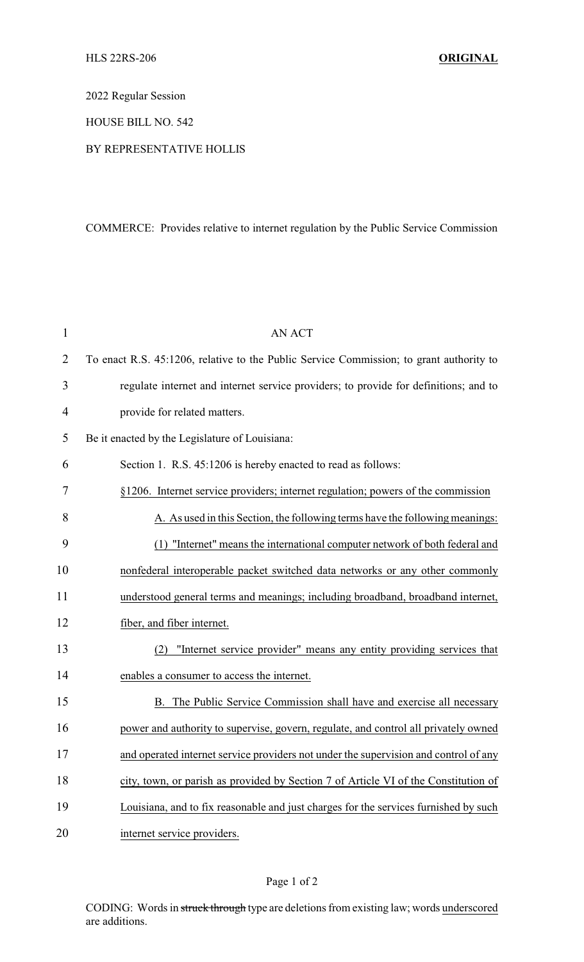2022 Regular Session

HOUSE BILL NO. 542

## BY REPRESENTATIVE HOLLIS

## COMMERCE: Provides relative to internet regulation by the Public Service Commission

| $\mathbf{1}$   | <b>AN ACT</b>                                                                           |
|----------------|-----------------------------------------------------------------------------------------|
| $\overline{2}$ | To enact R.S. 45:1206, relative to the Public Service Commission; to grant authority to |
| 3              | regulate internet and internet service providers; to provide for definitions; and to    |
| $\overline{4}$ | provide for related matters.                                                            |
| 5              | Be it enacted by the Legislature of Louisiana:                                          |
| 6              | Section 1. R.S. 45:1206 is hereby enacted to read as follows:                           |
| 7              | §1206. Internet service providers; internet regulation; powers of the commission        |
| 8              | A. As used in this Section, the following terms have the following meanings:            |
| 9              | (1) "Internet" means the international computer network of both federal and             |
| 10             | nonfederal interoperable packet switched data networks or any other commonly            |
| 11             | understood general terms and meanings; including broadband, broadband internet,         |
| 12             | fiber, and fiber internet.                                                              |
| 13             | "Internet service provider" means any entity providing services that<br>(2)             |
| 14             | enables a consumer to access the internet.                                              |
| 15             | B. The Public Service Commission shall have and exercise all necessary                  |
| 16             | power and authority to supervise, govern, regulate, and control all privately owned     |
| 17             | and operated internet service providers not under the supervision and control of any    |
| 18             | city, town, or parish as provided by Section 7 of Article VI of the Constitution of     |
| 19             | Louisiana, and to fix reasonable and just charges for the services furnished by such    |
| 20             | internet service providers.                                                             |

## Page 1 of 2

CODING: Words in struck through type are deletions from existing law; words underscored are additions.